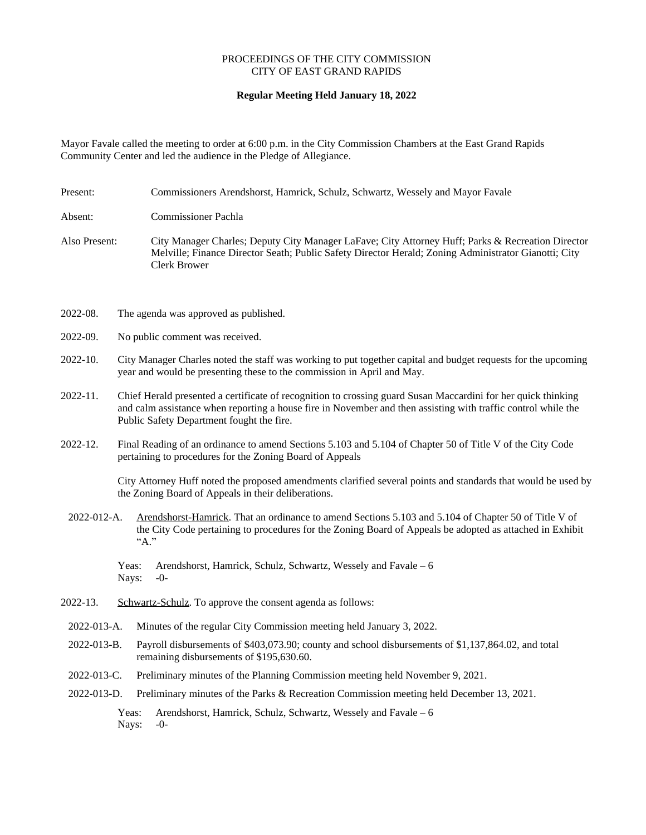## PROCEEDINGS OF THE CITY COMMISSION CITY OF EAST GRAND RAPIDS

## **Regular Meeting Held January 18, 2022**

Mayor Favale called the meeting to order at 6:00 p.m. in the City Commission Chambers at the East Grand Rapids Community Center and led the audience in the Pledge of Allegiance.

Present: Commissioners Arendshorst, Hamrick, Schulz, Schwartz, Wessely and Mayor Favale

Absent: Commissioner Pachla

- Also Present: City Manager Charles; Deputy City Manager LaFave; City Attorney Huff; Parks & Recreation Director Melville; Finance Director Seath; Public Safety Director Herald; Zoning Administrator Gianotti; City Clerk Brower
- 2022-08. The agenda was approved as published.
- 2022-09. No public comment was received.
- 2022-10. City Manager Charles noted the staff was working to put together capital and budget requests for the upcoming year and would be presenting these to the commission in April and May.
- 2022-11. Chief Herald presented a certificate of recognition to crossing guard Susan Maccardini for her quick thinking and calm assistance when reporting a house fire in November and then assisting with traffic control while the Public Safety Department fought the fire.
- 2022-12. Final Reading of an ordinance to amend Sections 5.103 and 5.104 of Chapter 50 of Title V of the City Code pertaining to procedures for the Zoning Board of Appeals

City Attorney Huff noted the proposed amendments clarified several points and standards that would be used by the Zoning Board of Appeals in their deliberations.

2022-012-A. Arendshorst-Hamrick. That an ordinance to amend Sections 5.103 and 5.104 of Chapter 50 of Title V of the City Code pertaining to procedures for the Zoning Board of Appeals be adopted as attached in Exhibit  ${}^{\alpha}$ A."

Yeas: Arendshorst, Hamrick, Schulz, Schwartz, Wessely and Favale – 6 Nays: -0-

- 2022-13. Schwartz-Schulz. To approve the consent agenda as follows:
	- 2022-013-A. Minutes of the regular City Commission meeting held January 3, 2022.
	- 2022-013-B. Payroll disbursements of \$403,073.90; county and school disbursements of \$1,137,864.02, and total remaining disbursements of \$195,630.60.
	- 2022-013-C. Preliminary minutes of the Planning Commission meeting held November 9, 2021.
	- 2022-013-D. Preliminary minutes of the Parks & Recreation Commission meeting held December 13, 2021.

Yeas: Arendshorst, Hamrick, Schulz, Schwartz, Wessely and Favale – 6 Nays: -0-